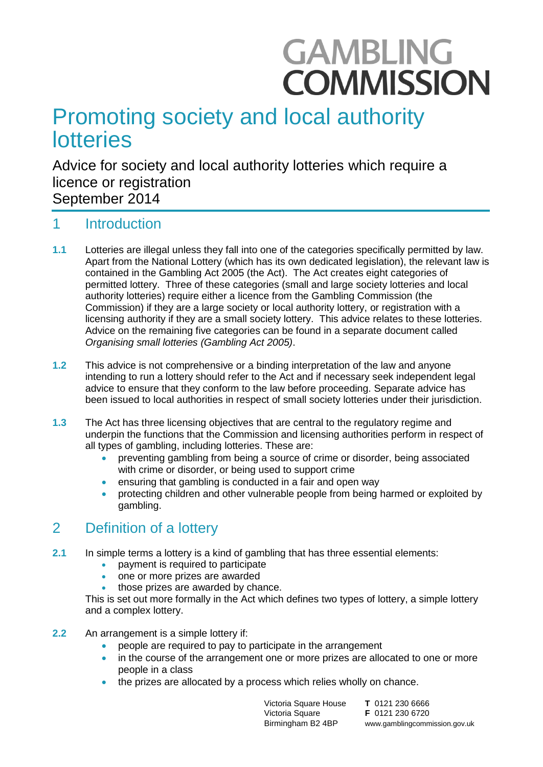# **GAMBLING COMMISSION**

## Promoting society and local authority lotteries

Advice for society and local authority lotteries which require a licence or registration September 2014

#### $\mathbf 1$ **Introduction**

- **1.1** Lotteries are illegal unless they fall into one of the categories specifically permitted by law. Apart from the National Lottery (which has its own dedicated legislation), the relevant law is contained in the Gambling Act 2005 (the Act). The Act creates eight categories of permitted lottery. Three of these categories (small and large society lotteries and local authority lotteries) require either a licence from the Gambling Commission (the Commission) if they are a large society or local authority lottery, or registration with a licensing authority if they are a small society lottery. This advice relates to these lotteries. Advice on the remaining five categories can be found in a separate document called *Organising small lotteries (Gambling Act 2005)*.
- **1.2** This advice is not comprehensive or a binding interpretation of the law and anyone intending to run a lottery should refer to the Act and if necessary seek independent legal advice to ensure that they conform to the law before proceeding. Separate advice has been issued to local authorities in respect of small society lotteries under their jurisdiction.
- **1.3** The Act has three licensing objectives that are central to the regulatory regime and underpin the functions that the Commission and licensing authorities perform in respect of all types of gambling, including lotteries. These are:
	- preventing gambling from being a source of crime or disorder, being associated with crime or disorder, or being used to support crime
	- ensuring that gambling is conducted in a fair and open way
	- protecting children and other vulnerable people from being harmed or exploited by gambling.

## 2 Definition of a lottery

- **2.1** In simple terms a lottery is a kind of gambling that has three essential elements:
	- payment is required to participate
	- one or more prizes are awarded
	- those prizes are awarded by chance.

This is set out more formally in the Act which defines two types of lottery, a simple lottery and a complex lottery.

- **2.2** An arrangement is a simple lottery if:
	- people are required to pay to participate in the arrangement
	- in the course of the arrangement one or more prizes are allocated to one or more people in a class
	- the prizes are allocated by a process which relies wholly on chance.

Victoria Square House Victoria Square Birmingham B2 4BP

**T** 0121 230 6666 **F** 0121 230 6720 www.gamblingcommission.gov.uk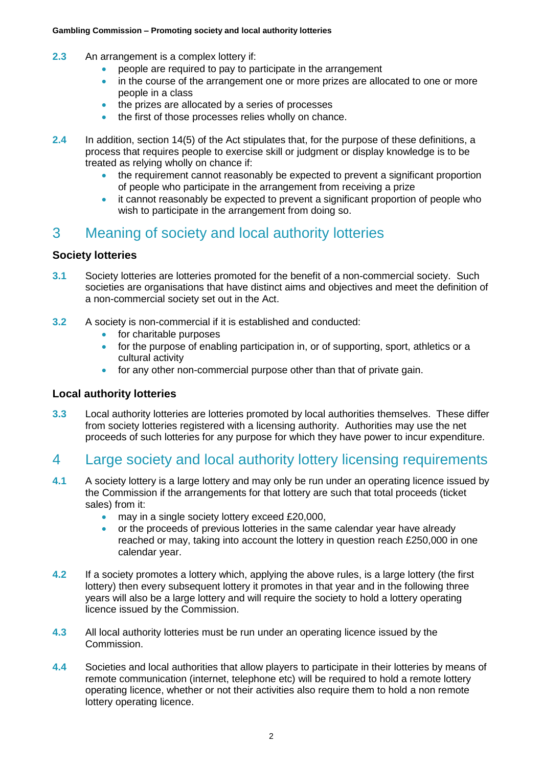- **2.3** An arrangement is a complex lottery if:
	- people are required to pay to participate in the arrangement
	- in the course of the arrangement one or more prizes are allocated to one or more people in a class
	- the prizes are allocated by a series of processes
	- the first of those processes relies wholly on chance.
- **2.4** In addition, section 14(5) of the Act stipulates that, for the purpose of these definitions, a process that requires people to exercise skill or judgment or display knowledge is to be treated as relying wholly on chance if:
	- the requirement cannot reasonably be expected to prevent a significant proportion of people who participate in the arrangement from receiving a prize
	- it cannot reasonably be expected to prevent a significant proportion of people who wish to participate in the arrangement from doing so.

## 3 Meaning of society and local authority lotteries

#### **Society lotteries**

- **3.1** Society lotteries are lotteries promoted for the benefit of a non-commercial society. Such societies are organisations that have distinct aims and objectives and meet the definition of a non-commercial society set out in the Act.
- **3.2** A society is non-commercial if it is established and conducted:
	- **for charitable purposes**
	- for the purpose of enabling participation in, or of supporting, sport, athletics or a cultural activity
	- for any other non-commercial purpose other than that of private gain.

#### **Local authority lotteries**

**3.3** Local authority lotteries are lotteries promoted by local authorities themselves. These differ from society lotteries registered with a licensing authority. Authorities may use the net proceeds of such lotteries for any purpose for which they have power to incur expenditure.

## 4 Large society and local authority lottery licensing requirements

- **4.1** A society lottery is a large lottery and may only be run under an operating licence issued by the Commission if the arrangements for that lottery are such that total proceeds (ticket sales) from it:
	- may in a single society lottery exceed £20,000,
	- or the proceeds of previous lotteries in the same calendar year have already reached or may, taking into account the lottery in question reach £250,000 in one calendar year.
- **4.2** If a society promotes a lottery which, applying the above rules, is a large lottery (the first lottery) then every subsequent lottery it promotes in that year and in the following three years will also be a large lottery and will require the society to hold a lottery operating licence issued by the Commission.
- **4.3** All local authority lotteries must be run under an operating licence issued by the Commission.
- **4.4** Societies and local authorities that allow players to participate in their lotteries by means of remote communication (internet, telephone etc) will be required to hold a remote lottery operating licence, whether or not their activities also require them to hold a non remote lottery operating licence.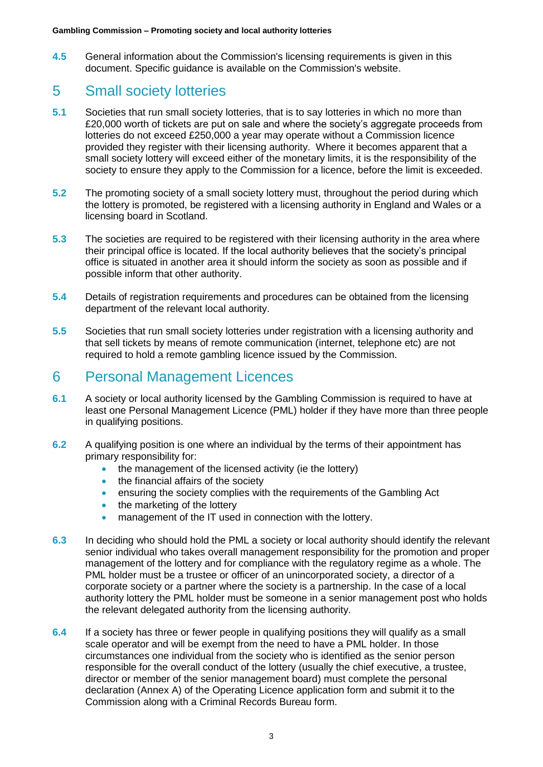**4.5** General information about the Commission's licensing requirements is given in this document. Specific guidance is available on the Commission's website.

## 5 Small society lotteries

- **5.1** Societies that run small society lotteries, that is to say lotteries in which no more than £20,000 worth of tickets are put on sale and where the society's aggregate proceeds from lotteries do not exceed £250,000 a year may operate without a Commission licence provided they register with their licensing authority. Where it becomes apparent that a small society lottery will exceed either of the monetary limits, it is the responsibility of the society to ensure they apply to the Commission for a licence, before the limit is exceeded.
- **5.2** The promoting society of a small society lottery must, throughout the period during which the lottery is promoted, be registered with a licensing authority in England and Wales or a licensing board in Scotland.
- **5.3** The societies are required to be registered with their licensing authority in the area where their principal office is located. If the local authority believes that the society's principal office is situated in another area it should inform the society as soon as possible and if possible inform that other authority.
- **5.4** Details of registration requirements and procedures can be obtained from the licensing department of the relevant local authority.
- **5.5** Societies that run small society lotteries under registration with a licensing authority and that sell tickets by means of remote communication (internet, telephone etc) are not required to hold a remote gambling licence issued by the Commission.

## 6 Personal Management Licences

- **6.1** A society or local authority licensed by the Gambling Commission is required to have at least one Personal Management Licence (PML) holder if they have more than three people in qualifying positions.
- **6.2** A qualifying position is one where an individual by the terms of their appointment has primary responsibility for:
	- the management of the licensed activity (ie the lottery)
	- the financial affairs of the society
	- ensuring the society complies with the requirements of the Gambling Act
	- $\bullet$  the marketing of the lottery
	- management of the IT used in connection with the lottery.
- **6.3** In deciding who should hold the PML a society or local authority should identify the relevant senior individual who takes overall management responsibility for the promotion and proper management of the lottery and for compliance with the regulatory regime as a whole. The PML holder must be a trustee or officer of an unincorporated society, a director of a corporate society or a partner where the society is a partnership. In the case of a local authority lottery the PML holder must be someone in a senior management post who holds the relevant delegated authority from the licensing authority.
- **6.4** If a society has three or fewer people in qualifying positions they will qualify as a small scale operator and will be exempt from the need to have a PML holder. In those circumstances one individual from the society who is identified as the senior person responsible for the overall conduct of the lottery (usually the chief executive, a trustee, director or member of the senior management board) must complete the personal declaration (Annex A) of the Operating Licence application form and submit it to the Commission along with a Criminal Records Bureau form.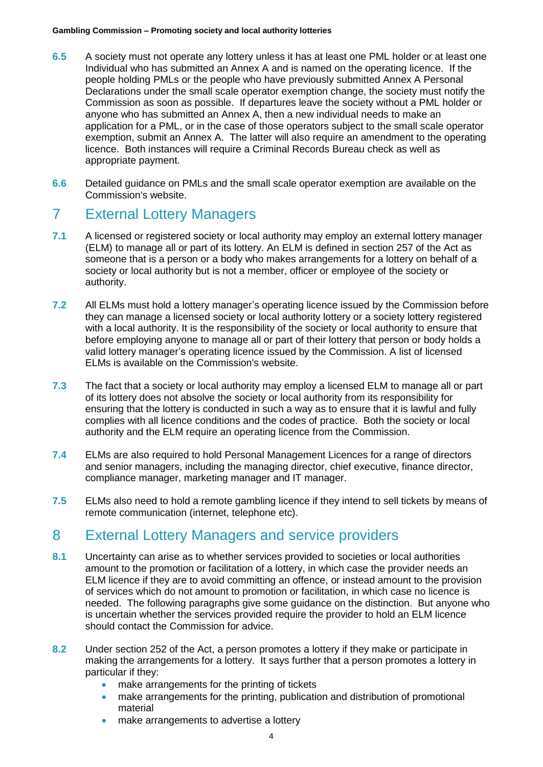- **6.5** A society must not operate any lottery unless it has at least one PML holder or at least one Individual who has submitted an Annex A and is named on the operating licence. If the people holding PMLs or the people who have previously submitted Annex A Personal Declarations under the small scale operator exemption change, the society must notify the Commission as soon as possible. If departures leave the society without a PML holder or anyone who has submitted an Annex A, then a new individual needs to make an application for a PML, or in the case of those operators subject to the small scale operator exemption, submit an Annex A. The latter will also require an amendment to the operating licence. Both instances will require a Criminal Records Bureau check as well as appropriate payment.
- **6.6** Detailed guidance on PMLs and the small scale operator exemption are available on the Commission's website.

## 7 External Lottery Managers

- **7.1** A licensed or registered society or local authority may employ an external lottery manager (ELM) to manage all or part of its lottery. An ELM is defined in section 257 of the Act as someone that is a person or a body who makes arrangements for a lottery on behalf of a society or local authority but is not a member, officer or employee of the society or authority.
- **7.2** All ELMs must hold a lottery manager's operating licence issued by the Commission before they can manage a licensed society or local authority lottery or a society lottery registered with a local authority. It is the responsibility of the society or local authority to ensure that before employing anyone to manage all or part of their lottery that person or body holds a valid lottery manager's operating licence issued by the Commission. A list of licensed ELMs is available on the Commission's website.
- **7.3** The fact that a society or local authority may employ a licensed ELM to manage all or part of its lottery does not absolve the society or local authority from its responsibility for ensuring that the lottery is conducted in such a way as to ensure that it is lawful and fully complies with all licence conditions and the codes of practice. Both the society or local authority and the ELM require an operating licence from the Commission.
- **7.4** ELMs are also required to hold Personal Management Licences for a range of directors and senior managers, including the managing director, chief executive, finance director, compliance manager, marketing manager and IT manager.
- **7.5** ELMs also need to hold a remote gambling licence if they intend to sell tickets by means of remote communication (internet, telephone etc).

## 8 External Lottery Managers and service providers

- **8.1** Uncertainty can arise as to whether services provided to societies or local authorities amount to the promotion or facilitation of a lottery, in which case the provider needs an ELM licence if they are to avoid committing an offence, or instead amount to the provision of services which do not amount to promotion or facilitation, in which case no licence is needed. The following paragraphs give some guidance on the distinction. But anyone who is uncertain whether the services provided require the provider to hold an ELM licence should contact the Commission for advice.
- **8.2** Under section 252 of the Act, a person promotes a lottery if they make or participate in making the arrangements for a lottery. It says further that a person promotes a lottery in particular if they:
	- make arrangements for the printing of tickets
	- make arrangements for the printing, publication and distribution of promotional material
	- make arrangements to advertise a lottery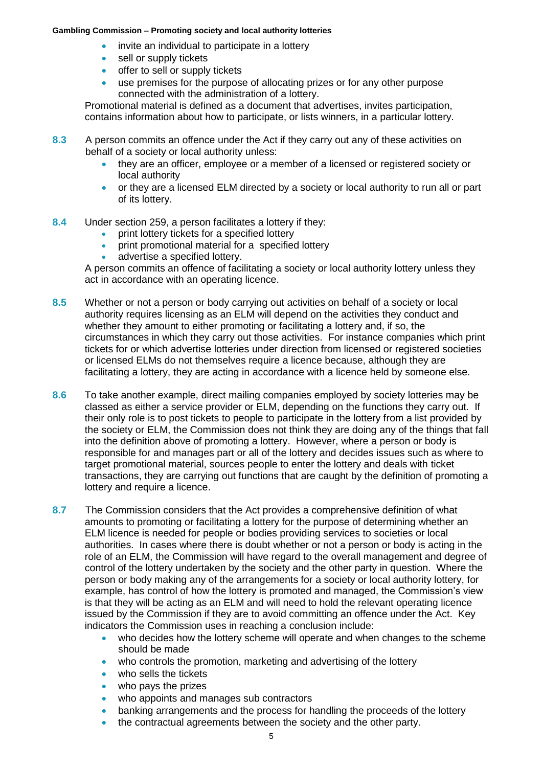- invite an individual to participate in a lottery
- sell or supply tickets
- offer to sell or supply tickets
- use premises for the purpose of allocating prizes or for any other purpose connected with the administration of a lottery.

Promotional material is defined as a document that advertises, invites participation, contains information about how to participate, or lists winners, in a particular lottery.

- **8.3** A person commits an offence under the Act if they carry out any of these activities on behalf of a society or local authority unless:
	- they are an officer, employee or a member of a licensed or registered society or local authority
	- or they are a licensed ELM directed by a society or local authority to run all or part of its lottery.
- **8.4** Under section 259, a person facilitates a lottery if they:
	- print lottery tickets for a specified lottery
	- **•** print promotional material for a specified lottery
	- advertise a specified lottery.

A person commits an offence of facilitating a society or local authority lottery unless they act in accordance with an operating licence.

- **8.5** Whether or not a person or body carrying out activities on behalf of a society or local authority requires licensing as an ELM will depend on the activities they conduct and whether they amount to either promoting or facilitating a lottery and, if so, the circumstances in which they carry out those activities. For instance companies which print tickets for or which advertise lotteries under direction from licensed or registered societies or licensed ELMs do not themselves require a licence because, although they are facilitating a lottery, they are acting in accordance with a licence held by someone else.
- **8.6** To take another example, direct mailing companies employed by society lotteries may be classed as either a service provider or ELM, depending on the functions they carry out. If their only role is to post tickets to people to participate in the lottery from a list provided by the society or ELM, the Commission does not think they are doing any of the things that fall into the definition above of promoting a lottery. However, where a person or body is responsible for and manages part or all of the lottery and decides issues such as where to target promotional material, sources people to enter the lottery and deals with ticket transactions, they are carrying out functions that are caught by the definition of promoting a lottery and require a licence.
- **8.7** The Commission considers that the Act provides a comprehensive definition of what amounts to promoting or facilitating a lottery for the purpose of determining whether an ELM licence is needed for people or bodies providing services to societies or local authorities. In cases where there is doubt whether or not a person or body is acting in the role of an ELM, the Commission will have regard to the overall management and degree of control of the lottery undertaken by the society and the other party in question. Where the person or body making any of the arrangements for a society or local authority lottery, for example, has control of how the lottery is promoted and managed, the Commission's view is that they will be acting as an ELM and will need to hold the relevant operating licence issued by the Commission if they are to avoid committing an offence under the Act. Key indicators the Commission uses in reaching a conclusion include:
	- who decides how the lottery scheme will operate and when changes to the scheme should be made
	- who controls the promotion, marketing and advertising of the lottery
	- who sells the tickets
	- who pays the prizes
	- who appoints and manages sub contractors
	- banking arrangements and the process for handling the proceeds of the lottery
	- the contractual agreements between the society and the other party.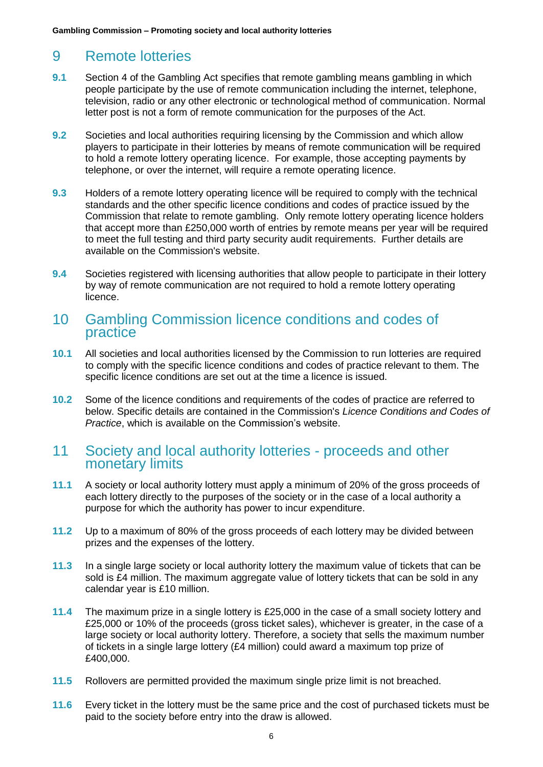## 9 Remote lotteries

- **9.1** Section 4 of the Gambling Act specifies that remote gambling means gambling in which people participate by the use of remote communication including the internet, telephone, television, radio or any other electronic or technological method of communication. Normal letter post is not a form of remote communication for the purposes of the Act.
- **9.2** Societies and local authorities requiring licensing by the Commission and which allow players to participate in their lotteries by means of remote communication will be required to hold a remote lottery operating licence. For example, those accepting payments by telephone, or over the internet, will require a remote operating licence.
- **9.3** Holders of a remote lottery operating licence will be required to comply with the technical standards and the other specific licence conditions and codes of practice issued by the Commission that relate to remote gambling. Only remote lottery operating licence holders that accept more than £250,000 worth of entries by remote means per year will be required to meet the full testing and third party security audit requirements. Further details are available on the Commission's website.
- **9.4** Societies registered with licensing authorities that allow people to participate in their lottery by way of remote communication are not required to hold a remote lottery operating licence.

#### 10 Gambling Commission licence conditions and codes of practice

- **10.1** All societies and local authorities licensed by the Commission to run lotteries are required to comply with the specific licence conditions and codes of practice relevant to them. The specific licence conditions are set out at the time a licence is issued.
- **10.2** Some of the licence conditions and requirements of the codes of practice are referred to below. Specific details are contained in the Commission's *Licence Conditions and Codes of Practice*, which is available on the Commission's website.

#### 11 Society and local authority lotteries - proceeds and other monetary limits

- **11.1** A society or local authority lottery must apply a minimum of 20% of the gross proceeds of each lottery directly to the purposes of the society or in the case of a local authority a purpose for which the authority has power to incur expenditure.
- **11.2** Up to a maximum of 80% of the gross proceeds of each lottery may be divided between prizes and the expenses of the lottery.
- **11.3** In a single large society or local authority lottery the maximum value of tickets that can be sold is £4 million. The maximum aggregate value of lottery tickets that can be sold in any calendar year is £10 million.
- **11.4** The maximum prize in a single lottery is £25,000 in the case of a small society lottery and £25,000 or 10% of the proceeds (gross ticket sales), whichever is greater, in the case of a large society or local authority lottery. Therefore, a society that sells the maximum number of tickets in a single large lottery (£4 million) could award a maximum top prize of £400,000.
- **11.5** Rollovers are permitted provided the maximum single prize limit is not breached.
- **11.6** Every ticket in the lottery must be the same price and the cost of purchased tickets must be paid to the society before entry into the draw is allowed.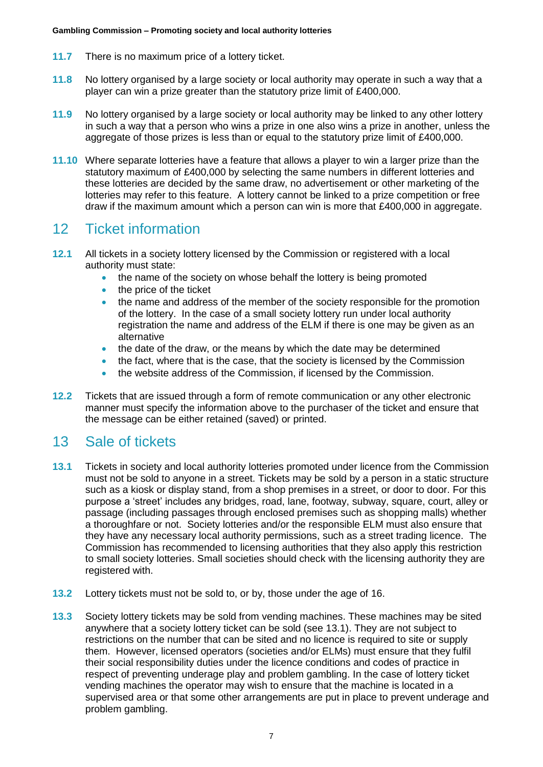- **11.7** There is no maximum price of a lottery ticket.
- **11.8** No lottery organised by a large society or local authority may operate in such a way that a player can win a prize greater than the statutory prize limit of £400,000.
- **11.9** No lottery organised by a large society or local authority may be linked to any other lottery in such a way that a person who wins a prize in one also wins a prize in another, unless the aggregate of those prizes is less than or equal to the statutory prize limit of £400,000.
- **11.10** Where separate lotteries have a feature that allows a player to win a larger prize than the statutory maximum of £400,000 by selecting the same numbers in different lotteries and these lotteries are decided by the same draw, no advertisement or other marketing of the lotteries may refer to this feature. A lottery cannot be linked to a prize competition or free draw if the maximum amount which a person can win is more that £400,000 in aggregate.

## 12 Ticket information

- **12.1** All tickets in a society lottery licensed by the Commission or registered with a local authority must state:
	- the name of the society on whose behalf the lottery is being promoted
	- the price of the ticket
	- the name and address of the member of the society responsible for the promotion of the lottery. In the case of a small society lottery run under local authority registration the name and address of the ELM if there is one may be given as an alternative
	- the date of the draw, or the means by which the date may be determined
	- the fact, where that is the case, that the society is licensed by the Commission
	- the website address of the Commission, if licensed by the Commission.
- **12.2** Tickets that are issued through a form of remote communication or any other electronic manner must specify the information above to the purchaser of the ticket and ensure that the message can be either retained (saved) or printed.

#### 13 Sale of tickets

- **13.1** Tickets in society and local authority lotteries promoted under licence from the Commission must not be sold to anyone in a street. Tickets may be sold by a person in a static structure such as a kiosk or display stand, from a shop premises in a street, or door to door. For this purpose a 'street' includes any bridges, road, lane, footway, subway, square, court, alley or passage (including passages through enclosed premises such as shopping malls) whether a thoroughfare or not. Society lotteries and/or the responsible ELM must also ensure that they have any necessary local authority permissions, such as a street trading licence. The Commission has recommended to licensing authorities that they also apply this restriction to small society lotteries. Small societies should check with the licensing authority they are registered with.
- **13.2** Lottery tickets must not be sold to, or by, those under the age of 16.
- **13.3** Society lottery tickets may be sold from vending machines. These machines may be sited anywhere that a society lottery ticket can be sold (see 13.1). They are not subject to restrictions on the number that can be sited and no licence is required to site or supply them. However, licensed operators (societies and/or ELMs) must ensure that they fulfil their social responsibility duties under the licence conditions and codes of practice in respect of preventing underage play and problem gambling. In the case of lottery ticket vending machines the operator may wish to ensure that the machine is located in a supervised area or that some other arrangements are put in place to prevent underage and problem gambling.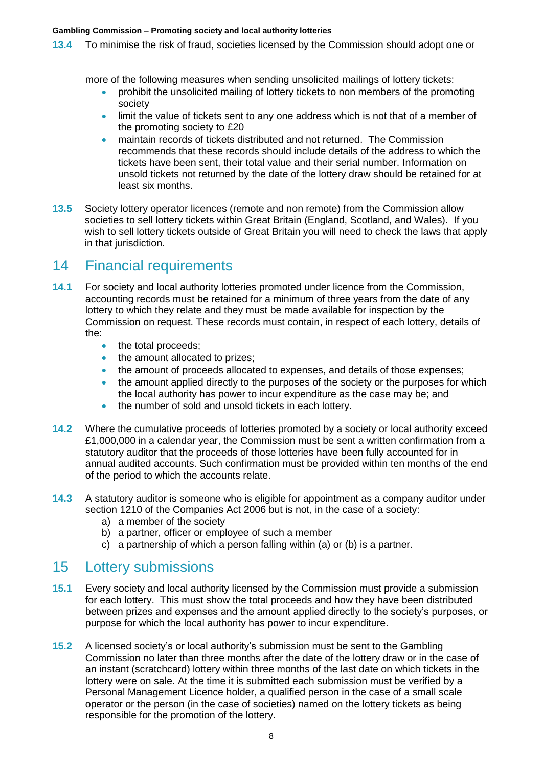**13.4** To minimise the risk of fraud, societies licensed by the Commission should adopt one or

more of the following measures when sending unsolicited mailings of lottery tickets:

- prohibit the unsolicited mailing of lottery tickets to non members of the promoting society
- limit the value of tickets sent to any one address which is not that of a member of the promoting society to £20
- maintain records of tickets distributed and not returned. The Commission recommends that these records should include details of the address to which the tickets have been sent, their total value and their serial number. Information on unsold tickets not returned by the date of the lottery draw should be retained for at least six months.
- **13.5** Society lottery operator licences (remote and non remote) from the Commission allow societies to sell lottery tickets within Great Britain (England, Scotland, and Wales). If you wish to sell lottery tickets outside of Great Britain you will need to check the laws that apply in that jurisdiction.

#### 14 Financial requirements

- **14.1** For society and local authority lotteries promoted under licence from the Commission, accounting records must be retained for a minimum of three years from the date of any lottery to which they relate and they must be made available for inspection by the Commission on request. These records must contain, in respect of each lottery, details of the:
	- the total proceeds;
	- the amount allocated to prizes;
	- the amount of proceeds allocated to expenses, and details of those expenses;
	- the amount applied directly to the purposes of the society or the purposes for which the local authority has power to incur expenditure as the case may be; and
	- the number of sold and unsold tickets in each lottery.
- **14.2** Where the cumulative proceeds of lotteries promoted by a society or local authority exceed £1,000,000 in a calendar year, the Commission must be sent a written confirmation from a statutory auditor that the proceeds of those lotteries have been fully accounted for in annual audited accounts. Such confirmation must be provided within ten months of the end of the period to which the accounts relate.
- **14.3** A statutory auditor is someone who is eligible for appointment as a company auditor under section 1210 of the Companies Act 2006 but is not, in the case of a society:
	- a) a member of the society
	- b) a partner, officer or employee of such a member
	- c) a partnership of which a person falling within (a) or (b) is a partner.

## 15 Lottery submissions

- **15.1** Every society and local authority licensed by the Commission must provide a submission for each lottery. This must show the total proceeds and how they have been distributed between prizes and expenses and the amount applied directly to the society's purposes, or purpose for which the local authority has power to incur expenditure.
- **15.2** A licensed society's or local authority's submission must be sent to the Gambling Commission no later than three months after the date of the lottery draw or in the case of an instant (scratchcard) lottery within three months of the last date on which tickets in the lottery were on sale. At the time it is submitted each submission must be verified by a Personal Management Licence holder, a qualified person in the case of a small scale operator or the person (in the case of societies) named on the lottery tickets as being responsible for the promotion of the lottery.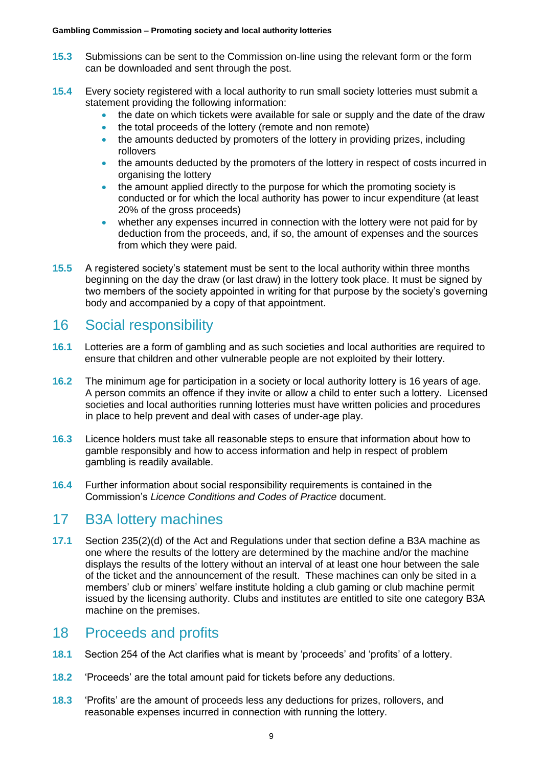- **15.3** Submissions can be sent to the Commission on-line using the relevant form or the form can be downloaded and sent through the post.
- **15.4** Every society registered with a local authority to run small society lotteries must submit a statement providing the following information:
	- the date on which tickets were available for sale or supply and the date of the draw
	- the total proceeds of the lottery (remote and non remote)
	- the amounts deducted by promoters of the lottery in providing prizes, including rollovers
	- the amounts deducted by the promoters of the lottery in respect of costs incurred in organising the lottery
	- the amount applied directly to the purpose for which the promoting society is conducted or for which the local authority has power to incur expenditure (at least 20% of the gross proceeds)
	- whether any expenses incurred in connection with the lottery were not paid for by deduction from the proceeds, and, if so, the amount of expenses and the sources from which they were paid.
- **15.5** A registered society's statement must be sent to the local authority within three months beginning on the day the draw (or last draw) in the lottery took place. It must be signed by two members of the society appointed in writing for that purpose by the society's governing body and accompanied by a copy of that appointment.

## 16 Social responsibility

- **16.1** Lotteries are a form of gambling and as such societies and local authorities are required to ensure that children and other vulnerable people are not exploited by their lottery.
- **16.2** The minimum age for participation in a society or local authority lottery is 16 years of age. A person commits an offence if they invite or allow a child to enter such a lottery. Licensed societies and local authorities running lotteries must have written policies and procedures in place to help prevent and deal with cases of under-age play.
- **16.3** Licence holders must take all reasonable steps to ensure that information about how to gamble responsibly and how to access information and help in respect of problem gambling is readily available.
- **16.4** Further information about social responsibility requirements is contained in the Commission's *Licence Conditions and Codes of Practice* document.

## 17 B3A lottery machines

**17.1** Section 235(2)(d) of the Act and Regulations under that section define a B3A machine as one where the results of the lottery are determined by the machine and/or the machine displays the results of the lottery without an interval of at least one hour between the sale of the ticket and the announcement of the result. These machines can only be sited in a members' club or miners' welfare institute holding a club gaming or club machine permit issued by the licensing authority. Clubs and institutes are entitled to site one category B3A machine on the premises.

## 18 Proceeds and profits

- **18.1** Section 254 of the Act clarifies what is meant by 'proceeds' and 'profits' of a lottery.
- **18.2** 'Proceeds' are the total amount paid for tickets before any deductions.
- **18.3** 'Profits' are the amount of proceeds less any deductions for prizes, rollovers, and reasonable expenses incurred in connection with running the lottery.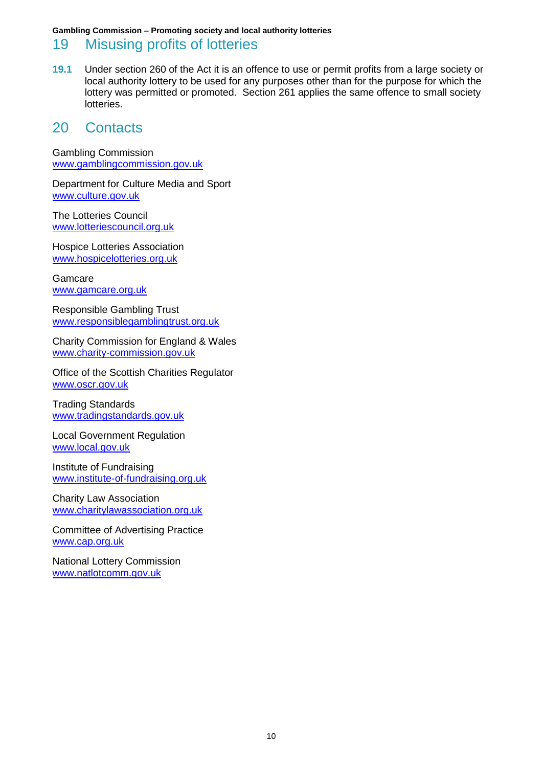#### 19 Misusing profits of lotteries

**19.1** Under section 260 of the Act it is an offence to use or permit profits from a large society or local authority lottery to be used for any purposes other than for the purpose for which the lottery was permitted or promoted. Section 261 applies the same offence to small society lotteries.

#### 20 Contacts

Gambling Commission [www.gamblingcommission.gov.uk](http://www.gamblingcommission.gov.uk/)

Department for Culture Media and Sport [www.culture.gov.uk](http://www.culture.gov.uk/)

The Lotteries Council [www.lotteriescouncil.org.uk](http://www.lotteriescouncil.org.uk/)

Hospice Lotteries Association [www.hospicelotteries.org.uk](http://www.hospicelotteries.org.uk/)

Gamcare [www.gamcare.org.uk](http://www.gamcare.org.uk/)

Responsible Gambling Trust [www.responsiblegamblingtrust.org.uk](http://www.responsiblegamblingtrust.org.uk/)

Charity Commission for England & Wales [www.charity-commission.gov.uk](http://www.charity-commission.gov.uk/)

Office of the Scottish Charities Regulator [www.oscr.gov.uk](http://www.oscr.gov.uk/) 

Trading Standards [www.tradingstandards.gov.uk](http://www.tradingstandards.gov.uk/)

Local Government Regulation [www.local.gov.uk](http://www.local.gov.uk/)

Institute of Fundraising [www.institute-of-fundraising.org.uk](http://www.institute-of-fundraising.org.uk/)

Charity Law Association [www.charitylawassociation.org.uk](http://www.charitylawassociation.org.uk/)

Committee of Advertising Practice [www.cap.org.uk](http://www.cap.org.uk/)

National Lottery Commission [www.natlotcomm.gov.uk](http://www.natlotcomm.gov.uk/)